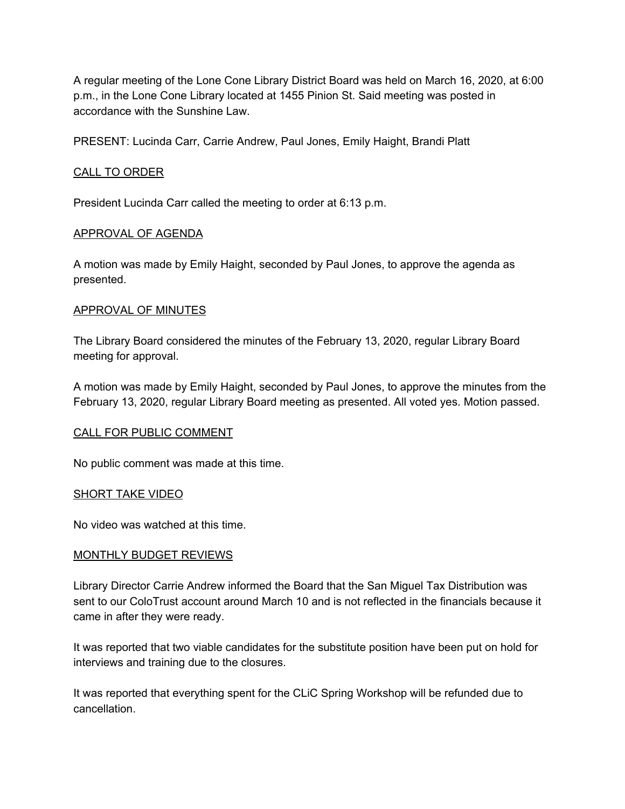A regular meeting of the Lone Cone Library District Board was held on March 16, 2020, at 6:00 p.m., in the Lone Cone Library located at 1455 Pinion St. Said meeting was posted in accordance with the Sunshine Law.

PRESENT: Lucinda Carr, Carrie Andrew, Paul Jones, Emily Haight, Brandi Platt

# CALL TO ORDER

President Lucinda Carr called the meeting to order at 6:13 p.m.

### APPROVAL OF AGENDA

A motion was made by Emily Haight, seconded by Paul Jones, to approve the agenda as presented.

### APPROVAL OF MINUTES

The Library Board considered the minutes of the February 13, 2020, regular Library Board meeting for approval.

A motion was made by Emily Haight, seconded by Paul Jones, to approve the minutes from the February 13, 2020, regular Library Board meeting as presented. All voted yes. Motion passed.

## CALL FOR PUBLIC COMMENT

No public comment was made at this time.

#### SHORT TAKE VIDEO

No video was watched at this time.

#### MONTHLY BUDGET REVIEWS

Library Director Carrie Andrew informed the Board that the San Miguel Tax Distribution was sent to our ColoTrust account around March 10 and is not reflected in the financials because it came in after they were ready.

It was reported that two viable candidates for the substitute position have been put on hold for interviews and training due to the closures.

It was reported that everything spent for the CLiC Spring Workshop will be refunded due to cancellation.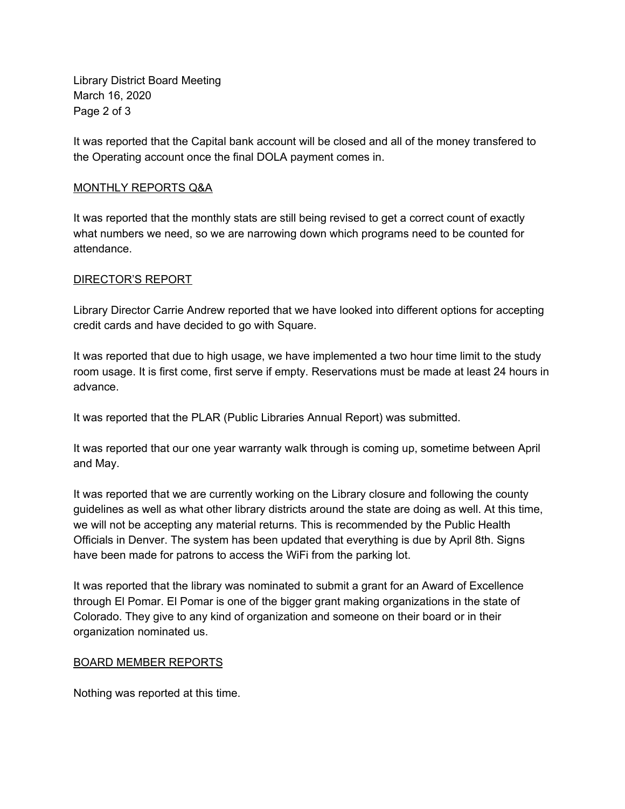Library District Board Meeting March 16, 2020 Page 2 of 3

It was reported that the Capital bank account will be closed and all of the money transfered to the Operating account once the final DOLA payment comes in.

# MONTHLY REPORTS Q&A

It was reported that the monthly stats are still being revised to get a correct count of exactly what numbers we need, so we are narrowing down which programs need to be counted for attendance.

# DIRECTOR'S REPORT

Library Director Carrie Andrew reported that we have looked into different options for accepting credit cards and have decided to go with Square.

It was reported that due to high usage, we have implemented a two hour time limit to the study room usage. It is first come, first serve if empty. Reservations must be made at least 24 hours in advance.

It was reported that the PLAR (Public Libraries Annual Report) was submitted.

It was reported that our one year warranty walk through is coming up, sometime between April and May.

It was reported that we are currently working on the Library closure and following the county guidelines as well as what other library districts around the state are doing as well. At this time, we will not be accepting any material returns. This is recommended by the Public Health Officials in Denver. The system has been updated that everything is due by April 8th. Signs have been made for patrons to access the WiFi from the parking lot.

It was reported that the library was nominated to submit a grant for an Award of Excellence through El Pomar. El Pomar is one of the bigger grant making organizations in the state of Colorado. They give to any kind of organization and someone on their board or in their organization nominated us.

## BOARD MEMBER REPORTS

Nothing was reported at this time.